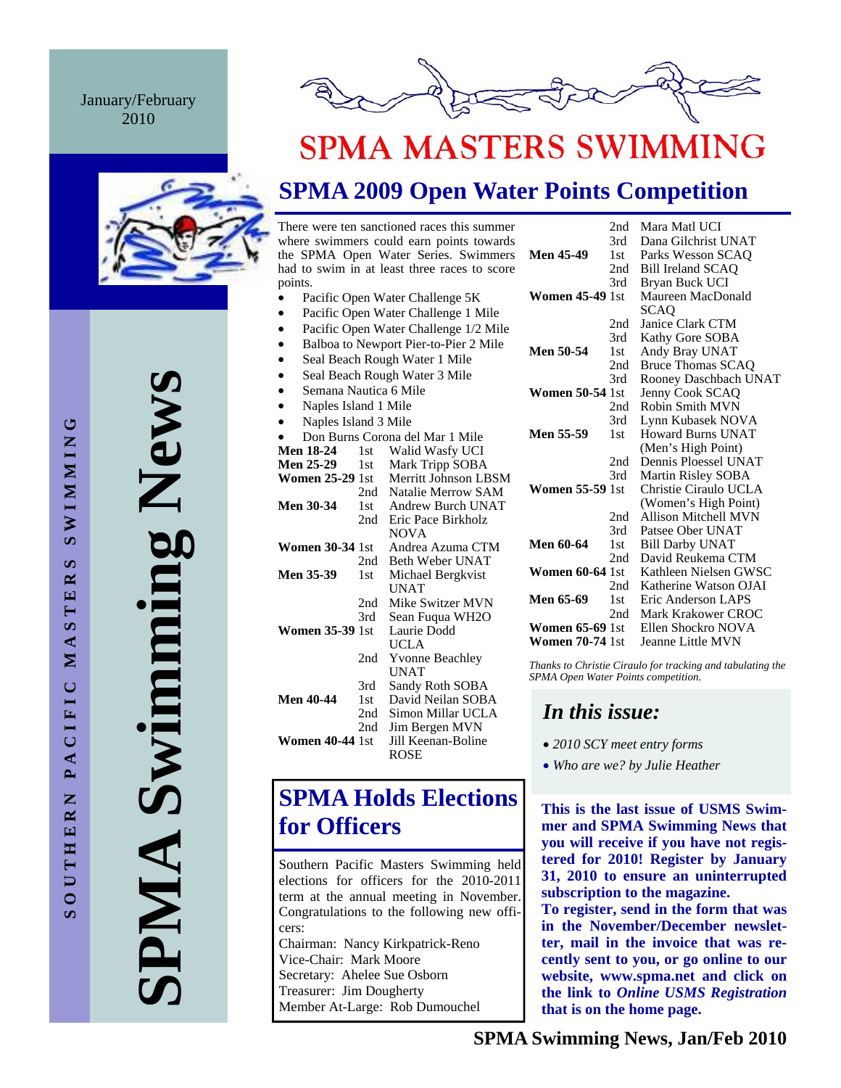#### January/February 2010





# **SPMA MASTERS SWIMMING**

## **SPMA 2009 Open Water Points Competition**

There were ten sanctioned races this summer where swimmers could earn points towards the SPMA Open Water Series. Swimmers had to swim in at least three races to score points.

- Pacific Open Water Challenge 5K
- Pacific Open Water Challenge 1 Mile
- Pacific Open Water Challenge 1/2 Mile
- Balboa to Newport Pier-to-Pier 2 Mile
- Seal Beach Rough Water 1 Mile
- Seal Beach Rough Water 3 Mile
- Semana Nautica 6 Mile • Naples Island 1 Mile
- Naples Island 3 Mile

|                                 | <b>INAPICS ISIAIRE</b> <i>J</i> IVILIC |                        |  |  |  |  |
|---------------------------------|----------------------------------------|------------------------|--|--|--|--|
| Don Burns Corona del Mar 1 Mile |                                        |                        |  |  |  |  |
| <b>Men 18-24</b>                | 1st                                    | Walid Wasfy UCI        |  |  |  |  |
| <b>Men 25-29</b>                | 1st                                    | Mark Tripp SOBA        |  |  |  |  |
| <b>Women 25-29 1st</b>          |                                        | Merritt Johnson LBSM   |  |  |  |  |
|                                 | 2nd                                    | Natalie Merrow SAM     |  |  |  |  |
| <b>Men 30-34</b>                | 1st                                    | Andrew Burch UNAT      |  |  |  |  |
|                                 | 2nd -                                  | Eric Pace Birkholz     |  |  |  |  |
|                                 |                                        | <b>NOVA</b>            |  |  |  |  |
| <b>Women 30-34</b> 1st          |                                        | Andrea Azuma CTM       |  |  |  |  |
|                                 | 2nd -                                  | Beth Weber UNAT        |  |  |  |  |
| <b>Men 35-39</b>                | 1st -                                  | Michael Bergkvist      |  |  |  |  |
|                                 |                                        | UNAT                   |  |  |  |  |
|                                 | 2nd                                    | Mike Switzer MVN       |  |  |  |  |
|                                 | 3rd -                                  | Sean Fuqua WH2O        |  |  |  |  |
| <b>Women 35-39</b> 1st          |                                        | Laurie Dodd            |  |  |  |  |
|                                 |                                        | UCLA                   |  |  |  |  |
|                                 | 2nd                                    | <b>Yvonne Beachley</b> |  |  |  |  |
|                                 |                                        | UNAT                   |  |  |  |  |
|                                 | 3rd                                    | Sandy Roth SOBA        |  |  |  |  |
| <b>Men 40-44</b>                | 1st                                    | David Neilan SOBA      |  |  |  |  |
|                                 | 2nd                                    | Simon Millar UCLA      |  |  |  |  |
|                                 | 2nd                                    | Jim Bergen MVN         |  |  |  |  |
| <b>Women 40-44</b> 1st          |                                        | Jill Keenan-Boline     |  |  |  |  |
|                                 |                                        | ROSE                   |  |  |  |  |

## **SPMA Holds Elections for Officers**

Southern Pacific Masters Swimming held elections for officers for the 2010-2011 term at the annual meeting in November. Congratulations to the following new officers: Chairman: Nancy Kirkpatrick-Reno Vice-Chair: Mark Moore Secretary: Ahelee Sue Osborn Treasurer: Jim Dougherty Member At-Large: Rob Dumouchel

|                        | 2nd   | Mara Matl UCI             |
|------------------------|-------|---------------------------|
|                        | 3rd   | Dana Gilchrist UNAT       |
| <b>Men 45-49</b>       | 1st   | Parks Wesson SCAO         |
|                        | 2nd   | Bill Ireland SCAQ         |
|                        | 3rd - | Bryan Buck UCI            |
| <b>Women 45-49 1st</b> |       | Maureen MacDonald         |
|                        |       | SCAO                      |
|                        | 2nd   | Janice Clark CTM          |
|                        | 3rd   | Kathy Gore SOBA           |
| Men 50-54              | 1st   | Andy Bray UNAT            |
|                        | 2nd   | <b>Bruce Thomas SCAQ</b>  |
|                        | 3rd   | Rooney Daschbach UNAT     |
| <b>Women 50-54 1st</b> |       | Jenny Cook SCAO           |
|                        | 2nd   | <b>Robin Smith MVN</b>    |
|                        | 3rd   | Lynn Kubasek NOVA         |
| Men 55-59              | 1st   | <b>Howard Burns UNAT</b>  |
|                        |       | (Men's High Point)        |
|                        | 2nd   | Dennis Ploessel UNAT      |
|                        | 3rd   | Martin Risley SOBA        |
| <b>Women 55-59</b> 1st |       | Christie Ciraulo UCLA     |
|                        |       | (Women's High Point)      |
|                        | 2nd   | Allison Mitchell MVN      |
|                        | 3rd   | Patsee Ober UNAT          |
| Men 60-64              | 1st   | <b>Bill Darby UNAT</b>    |
|                        | 2nd   | David Reukema CTM         |
| <b>Women 60-64 1st</b> |       | Kathleen Nielsen GWSC     |
|                        | 2nd   | Katherine Watson OJAI     |
| Men 65-69              | 1st - | Eric Anderson LAPS        |
|                        | 2nd   | <b>Mark Krakower CROC</b> |
| <b>Women 65-69 1st</b> |       | Ellen Shockro NOVA        |
| <b>Women 70-74</b> 1st |       | Jeanne Little MVN         |

*Thanks to Christie Ciraulo for tracking and tabulating the SPMA Open Water Points competition.* 

### *In this issue:*

- *2010 SCY meet entry forms*
- *Who are we? by Julie Heather*

**This is the last issue of USMS Swimmer and SPMA Swimming News that you will receive if you have not registered for 2010! Register by January 31, 2010 to ensure an uninterrupted subscription to the magazine.** 

**To register, send in the form that was in the November/December newsletter, mail in the invoice that was recently sent to you, or go online to our website, www.spma.net and click on the link to** *Online USMS Registration*  **that is on the home page.**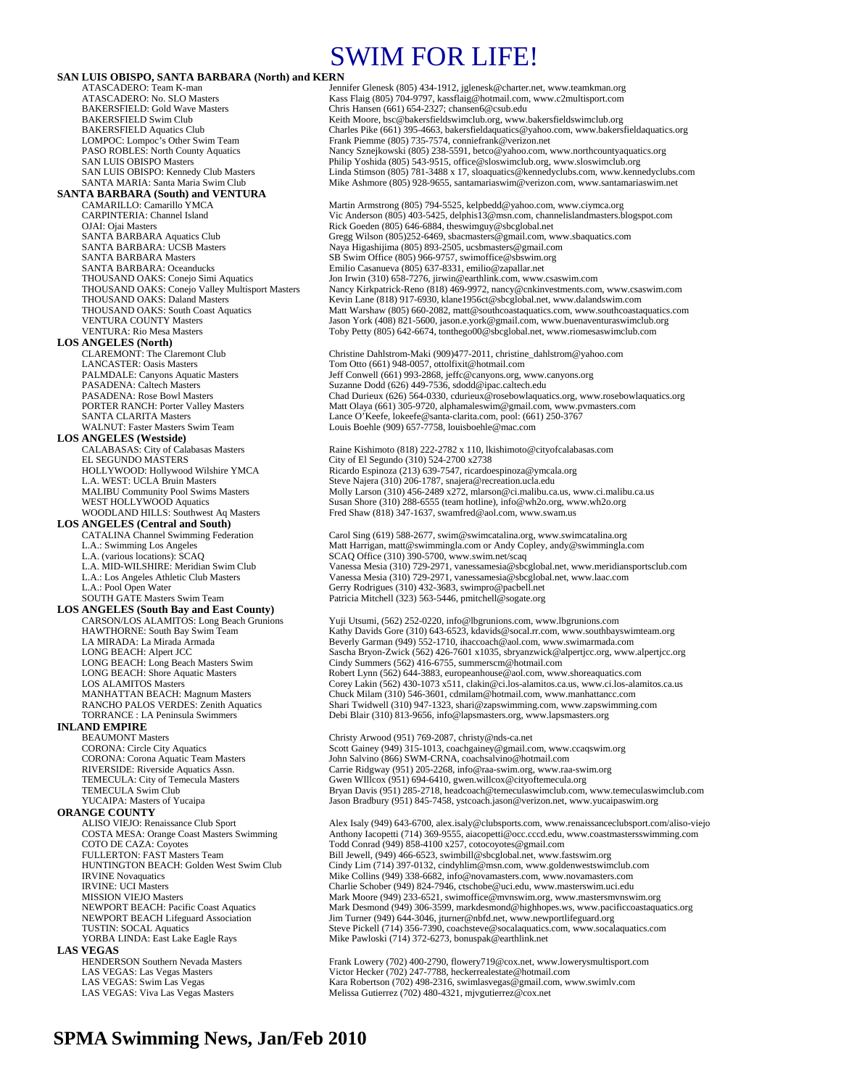## SWIM FOR LIFE!

**SAN LUIS OBISPO, SANTA BARBARA (North) and KERN**<br>ATASCADERO: Team K-man<br>Jen ATASCADERO: Team K-man Jennifer Glenesk (805) 434-1912, jglenesk @charter.net, www.teamkman.org<br>ATASCADERO: No. SLO Masters Kass Flaig (805) 704-9797, kassflaig @hotmail.com, www.c2multisport.com ATASCADERO: No. SLO Masters Kass Flaig (805) 704-9797, kassflaig@hotmail.com, www.c2multisport.com<br>BAKERSFIELD: Gold Wave Masters Chris Hansen (661) 654-2327; chansen6@csub.edu BAKERSFIELD: Gold Wave Masters Chris Hansen (661) 654-2327; chansen 6@csub.edu<br>BAKERSFIELD Swim Club Club Chris Hansen (661) 654-2327; chansen 6@csub.edu BAKERSFIELD Swim Club<br>BAKERSFIELD Aquatics Club<br>Charles Pike (661) 395-4663, bakersfieldaquatics@yahoo.com, www.bakersf BAKERSFIELD Aquatics Club Charles Pike (661) 395-4663, bakersfieldaquatics@yahoo.com, www.bakersfieldaquatics.org<br>COMPOC: Lompoc's Other Swim Team Frank Piemme (805) 735-7574, conniefrank@verizon.net LOMPOC: Lompoc's Other Swim Team Frank Piemme (805) 735-7574, conniefrank @verizon.net<br>PASO ROBLES: North County Aquatics Namey Sznejkowski (805) 238-5591, betco@yahoo.com, Nancy Sznejkowski (805) 238-5591, betco@yahoo.com, www.northcountyaquatics.org SAN LUIS OBISPO Masters (Sales of Philip Yoshida (805) 543-9515, office@sloswimclub.org, www.sloswimclub.org<br>SAN LUIS OBISPO: Kennedy Club Masters (Sales Linda Stimson (805) 781-3488 x 17, sloaquatics@kennedyclubs.com, www **SANTA BARBARA (South) and VENTURA**  CAMARILLO: Camarillo YMCA Martin Armstrong (805) 794-5525, kelpbedd@yahoo.com, www.ciymca.org CARPINTERIA: Channel Island Vic Anderson (805) 403-5425, delphis13@msn.com, channelislandmasters.blogspot.com OJAI: Ojai Masters Rick Goeden (805) 646-6884, theswimguy@sbcglobal.net<br>
SANTA BARBARA Aquatics Club<br>
Gregg Wilson (805)252-6469, sbacmasters@gmail.com, w SANTA BARBARA Aquatics Club Gregg Wilson (805)252-6469, sbacmasters@gmail.com, www.sbaquatics.com<br>SANTA BARBARA: UCSB Masters **Santa Barbara Access Santa Barbara (805)** 893-2505, ucsbmasters@gmail.com SANTA BARBARA: UCSB Masters Naya Higashijima (805) 893-2505, ucsbmasters@gmail.com<br>SANTA BARBARA Masters SB Swim Office (805) 966-9757, swimoffice@sbswim.org SANTA BARBARA Masters SB Swim Office (805) 966-9757, swimoffice@sbswim.org<br>SANTA BARBARA: Oceanducks Emilio Casanueva (805) 637-8331, emilio@zapallar.net SANTA BARBARA: Oceanducks Emilio Casanueva (805) 637-8331, emilio@zapallar.net<br>THOUSAND OAKS: Conejo Simi Aquatics Jon Irwin (310) 658-7276, jirwin@earthlink.com, www. THOUSAND OAKS: Conejo Simi Aquatics Jon Irwin (310) 658-7276, jirwin@earthlink.com, www.csaswim.com<br>THOUSAND OAKS: Conejo Valley Multisport Masters Nancy Kirkpatrick-Reno (818) 469-9972, nancy@cnkinvestments.com THOUSAND OAKS: Conejo Valley Multisport Masters Nancy Kirkpatrick-Reno (818) 469-9972, nancy@cnkinvestments.com, www.csaswim.com<br>THOUSAND OAKS: Daland Masters Kevin Lane (818) 917-6930, klane1956ct@sbcglobal.net, www.dalan Kevin Lane (818) 917-6930, klane1956ct@sbcglobal.net, www.dalandswim.com THOUSAND OAKS: South Coast Aquatics Matt Warshaw (805) 660-2082, matt@southcoastaquatics.com, www.southcoastaquatics.com<br>VENTURA COUNTY Masters Matt Matt Matt Matt Warshaw (805) 660-2082, matt@southcoastaquatics.com, www.b VENTURA COUNTY Masters Valley (1998) Jason York (408) 821-5600, jason.e.york@gmail.com, www.buenaventuraswimclub.org<br>VENTURA: Rio Mesa Masters Valley (1999) Toby Petty (805) 642-6674. tonthego00@shcglobal.net. www.riomesas Toby Petty (805) 642-6674, tonthego00@sbcglobal.net, www.riomesaswimclub.com **LOS ANGELES (North)**  CLAREMONT: The Claremont Club Christine Dahlstrom-Maki (909)477-2011, christine\_dahlstrom@yahoo.com<br>CANCASTER: Oasis Masters Tom Otto (661) 948-0057, ottolfixit@hotmail.com LANCASTER: Oasis Masters Tom Otto (661) 948-0057, ottolfixit@hotmail.com<br>
PALMDALE: Canvons Aquatic Masters Jeff Conwell (661) 993-2868. ieffc@canvons.org. v PALMDALE: Canyons Aquatic Masters Jeff Conwell (661) 993-2868, jeffc@canyons.org, www.canyons.org<br>PASADENA: Caltech Masters Suzanne Dodd (626) 449-7536, sdodd@ipac.caltech.edu PASADENA: Caltech Masters Suzanne Dodd (626) 449-7536, sdodd@ipac.caltech.edu<br>PASADENA: Rose Bowl Masters Suzanne Dodd (626) 449-7536, sdodd@ipac.caltech.edu<br>PASADENA: Rose Bowl Masters Chad Durieux (626) 564-0330, cdurieu PASADENA: Rose Bowl Masters Chad Durieux (626) 564-0330, cdurieux @rosebowlaquatics.org, www.rosebowlaquatics.org<br>PORTER RANCH: Porter Valley Masters Matt Olaya (661) 305-9720, alphamaleswim@gmail.com, www.pymasters.com PORTER RANCH: Porter Valley Masters Matt Olaya (661) 305-9720, alphamaleswim@gmail.com, www.pvmasters.com<br>SANTA CLARITA Masters Matters Matt Olaya (661) 305-9720, alphamaleswim@gmail.com, www.pvmasters.com SANTA CLARITA Masters Lance O'Keefe, lokeefe@santa-clarita.com, pool: (661) 250-3767 Louis Boehle (909) 657-7758, louisboehle@mac.com **LOS ANGELES (Westside)** CALABASAS: City of Calabasas Masters Raine Kishimoto (818) 222-2782 x 110, lkishimoto@cityofcalabasas.com<br>EL SEGUNDO MASTERS City of El Segundo (310) 524-2700 x2738 EL SEGUNDO MÁSTERS<br>
HOLLYWOOD: Hollywood Wilshire YMCA<br>
Ricardo Espinoza (213) 639-7547, ricardo HOLLYWOOD: Hollywood Wilshire YMCA Ricardo Espinoza (213) 639-7547, ricardoespinoza@ymcala.org<br>
L.A. WEST: UCLA Bruin Masters Steve Najera (310) 206-1787, snajera@recreation.ucla.edu L.A. WEST: UCLA Bruin Masters Steve Najera (310) 206-1787, snajera@recreation.ucla.edu<br>MALIBU Community Pool Swims Masters Molly Larson (310) 456-2489 x272, mlarson@ci.malibu.ca MALIBU Community Pool Swims Masters Molly Larson (310) 456-2489 x272, mlarson@ci.malibu.ca.us, www.ci.malibu.ca.us<br>WEST HOLLYWOOD Aquatics Susan Shore (310) 288-6555 (team hotline), info@wh2o.org, www.wh2o.org WEST HOLLYWOOD Aquatics Susan Shore (310) 288-6555 (team hotline), info@wh2o.org, www.wh2o.org<br>WOODLAND HILLS: Southwest Aq Masters Fred Shaw (818) 347-1637, swamfred@aol.com, www.swam.us Fred Shaw (818) 347-1637, swamfred@aol.com, www.swam.us **LOS ANGELES (Central and South)**  Carol Sing (619) 588-2677, swim@swimcatalina.org, www.swimcatalina.org L.A.: Swimming Los Angeles Matt Harrigan, matt @swimmingla.com or Andy Copley, andy @swimmingla.com CLA.<br>L.A. (various locations): SCAQ SCAQ SCAQ Office (310) 390-5700, www.swim.net/scaq L.A. (various locations): SCAQ<br>
L.A. MID-WILSHIRE: Meridian Swim Club Vanessa Mesia (310) 729-2971, vanessamesia@sbcglobal.net, www.meridiansportsclub.com<br>
L.A.: Los Angeles Athletic Club Masters Vanessa Mesia (310) 729-29 L.A.: Los Angeles Athletic Club Masters Vanessa Mesia (310) 729-2971, vanessamesia@sbcglobal.net, www.laac.com<br>
L.A.: Pool Open Water Genry Rodrigues (310) 432-3683, swimpro@pacbell.net, www.laac.com L.A.: Pool Open Water Gerry Rodrigues (310) 432-3683, swimpro@pacbell.net<br>SOUTH GATE Masters Swim Team Patricia Mitchell (323) 563-5446, pmitchell@sogate.org Patricia Mitchell (323) 563-5446, pmitchell@sogate.org **LOS ANGELES (South Bay and East County)**  CARSON/LOS ALAMITOS: Long Beach Grunions Yuji Utsumi, (562) 252-0220, info@lbgrunions.com, www.lbgrunions.com HAWTHORNE: South Bay Swim Team Kathy Davids Gore (310) 643-6523, kdavids@socal.rr.com, www.southbayswimteam.org<br>
LA MIRADA: La Mirada Armada (1999) 552-1710, ihaccoach@aol.com, www.swimarmada.com LA MIRADA: La Mirada Armada **Beverly Garman (949) 552-1710**, ihaccoach@aol.com, www.swimarmada.com<br>
LONG BEACH: Alpert JCC **Sascha Bryon-Zwick (562) 426-7601 x1035**, sbryanzwick@alpertjcc.org, www LONG BEACH: Alpert JCC Sascha Bryon-Zwick (562) 426-7601 x1035, sbryanzwick@alpertjcc.org, www.alpertjcc.org<br>Cindy Summers (562) 416-6755, summerscm@hotmail.com LONG BEACH: Long Beach Masters Swim Cindy Summers (562) 416-6755, summerscm@hotmail.com Robert Lynn (562) 644-3883, europeanhouse@aol.com, www.shoreaquatics.com LOS ALAMITOS Masters Corey Lakin (562) 430-1073 x511, clakin@ci.los-alamitos.ca.us, www.ci.los-alamitos.ca.us MANHATTAN BEACH: Magnum Masters Chuck Milam (310) 546-3601, cdmilam@hotmail.com, www.manhattancc.com RANCHO PALOS VERDES: Zenith Aquatics Shari Twidwell (310) 947-1323, shari@zapswimming.com, www.zapswimming.com TORRANCE : LA Peninsula Swimmers Debi Blair (310) 813-9656, info@lapsmasters.org, www.lapsmasters.org **INLAND EMPIRE**<br>**REALIMONT Masters** BEAUMONT Masters Christy Arwood (951) 769-2087, christy @nds-ca.net<br>CORONA: Circle City Aquatics CORON: Scott Gainey (949) 315-1013, coachgainey@gmail.co CORONA: Circle City Aquatics Scott Gainey (949) 315-1013, coachgainey@gmail.com, www.ccaqswim.org<br>CORONA: Corona Aquatic Team Masters John Salvino (866) SWM-CRNA, coachsalvino@hotmail.com CORONA: Corona Aquatic Team Masters John Salvino (866) SWM-CRNA, coachsalvino@hotmail.com<br>
RIVERSIDE: Riverside Aquatics Assn. Carrie Ridgway (951) 205-2268, info@raa-swim.org, www.raa RIVERSIDE: Riverside Aquatics Assn. Carrie Ridgway (951) 205-2268, info@raa-swim.org, www.raa-swim.org<br>TEMECULA: City of Temecula Masters Gwen WIllcox (951) 694-6410, gwen.willcox@cityoftemecula.org TEMECULA: City of Temecula Masters Gwen WIllcox (951) 694-6410, gwen.willcox@cityoftemecula.org<br>TEMECULA Swim Club Bryan Davis (951) 285-2718, headcoach@temeculaswimclub.com, TEMECULA Swim Club Bryan Davis (951) 285-2718, headcoach@temeculaswimclub.com, www.temeculaswimclub.com<br>TucAIPA: Masters of Yucaipa Branch Branch Branch Davis (951) 845-7458, ystcoach.jason@verizon.net, www.yucaipaswim.org Jason Bradbury (951) 845-7458, ystcoach.jason@verizon.net, www.yucaipaswim.org **ORANGE COUNTY**<br>ALISO VIEJO: Renaissance Club Sport ALISO VIEJO: Renaissance Club Sport <br>
Alex Isaly (949) 643-6700, alex.isaly@clubsports.com, www.renaissanceclubsport.com/aliso-viejo<br>
Anthony Iacopetti (714) 369-9555, aiacopetti@occ.cccd.edu, www.coastmastersswimming.com COSTA MESA: Orange Coast Masters Swimming Anthony Iacopetti (714) 369-9555, aiacopetti@occ.cccd.edu, www.coastmastersswimming.com<br>COTO DE CAZA: Coyotes  $\frac{1}{2}$ COTO DE CAZA: Coyotes Correct Conrad (949) 858-4100 x257, cotocoyotes @gmail.com<br>FULLERTON: FAST Masters Team Bill Jewell, (949) 466-6523, swimbill@sbcglobal.net, www.fa Bill Jewell, (949) 466-6523, swimbill@sbcglobal.net, www.fastswim.org HUNTINGTON BEACH: Golden West Swim Club Cindy Lim (714) 397-0132, cindyhlim@msn.com, www.goldenwestswimclub.com<br>R VINE Novamatics Wike Collins (949) 338-6682, info@novamasters.com, www.novamasters.com Mike Collins (949) 338-6682, info@novamasters.com, www.novamasters.com IRVINE: UCI Masters<br>
IRVINE: UCI Masters Charlie Schober (949) 233-6521, swimoffice@mvnswim.org, www.mastersmynsw<br>
Mark Moore (949) 233-6521, swimoffice@mvnswim.org, www.mastersmynsw MISSION VIEJO Masters Mark Moore (949) 233-6521, swimoffice@mvnswim.org, www.mastersmvnswim.org<br>Mark Desmond (949) 306-3599, markdesmond@highhopes.ws, www.pacificcoastaqua NEWPORT BEACH: Pacific Coast Aquatics Mark Desmond (949) 306-3599, markdesmond@highhopes.ws, www.pacificcoastaquatics.org<br>NEWPORT BEACH Lifeguard Association Jim Turner (949) 644-3046, jturner@nbfd.net, www.newportlifeguar NEWPORT BEACH Lifeguard Association Jim Turner (949) 644-3046, jturner@nbfd.net, www.newportlifeguard.org<br>TUSTIN: SOCAL Aquatics Association Steve Pickell (714) 356-7390, coachsteve@socalaquatics.com, www.socal TUSTIN: SOCAL Aquatics Steve Rickell (714) 356-7390, coachsteve@socalaquatics.com, www.socalaquatics.com<br>TORBA LINDA: East Lake Eagle Rays Mike Pawloski (714) 372-6273, bonuspak@earthlink.net Mike Pawloski (714) 372-6273, bonuspak@earthlink.net **LAS VEGAS**<br> **HENDERSON Southern Nevada Masters** HENDERSON Southern Nevada Masters Frank Lowery (702) 400-2790, flowery 719@cox.net, www.lowerysmultisport.com<br>
LAS VEGAS: Las Vegas Masters Victor Hecker (702) 247-7788, heckerrealestate@hotmail.com LAS VEGAS: Las Vegas Masters Victor Hecker (702) 247-7788, heckerrealestate@hotmail.com<br>
LAS VEGAS: Swim Las Vegas Kara Robertson (702) 498-2316, swimlasvegas@gmail.com, w LAS VEGAS: Swim Las Vegas Kara Robertson (702) 498-2316, swimlasvegas@gmail.com, www.swimlv.com<br>LAS VEGAS: Viva Las Vegas Masters Melissa Gutierrez (702) 480-4321, mjvgutierrez@cox.net Melissa Gutierrez (702) 480-4321, mjvgutierrez@cox.net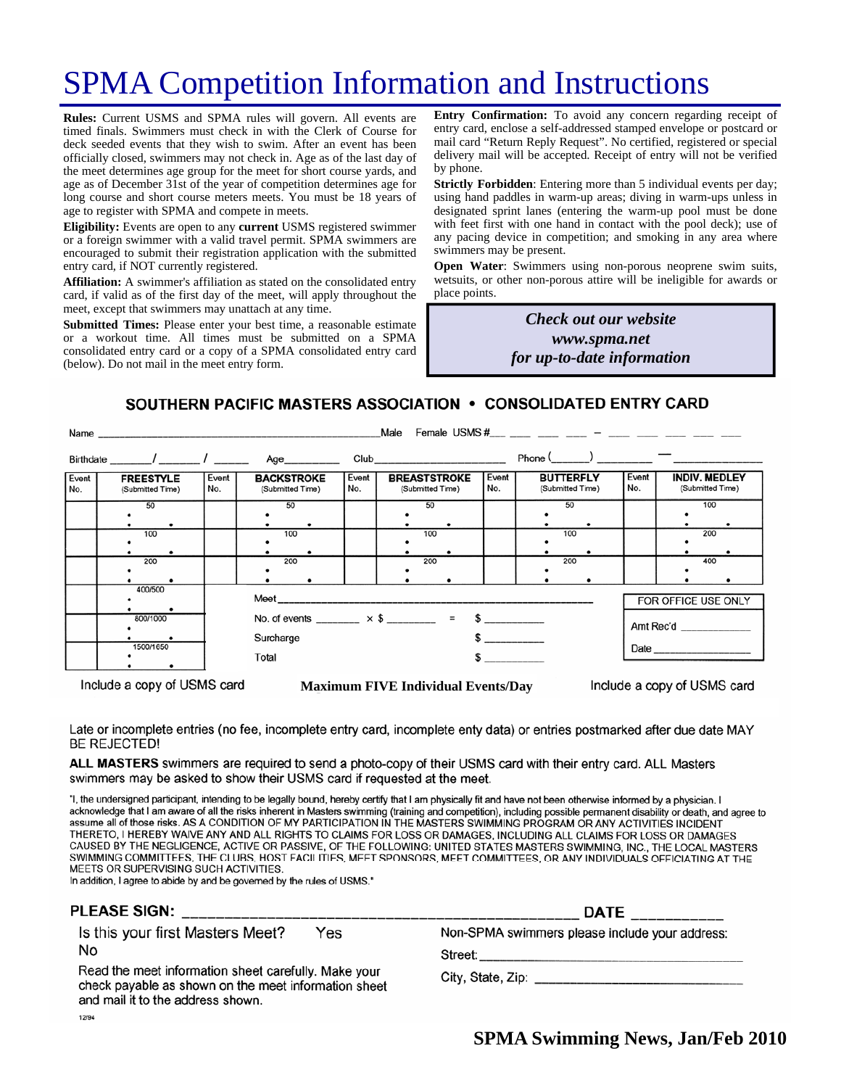# SPMA Competition Information and Instructions

**Rules:** Current USMS and SPMA rules will govern. All events are timed finals. Swimmers must check in with the Clerk of Course for deck seeded events that they wish to swim. After an event has been officially closed, swimmers may not check in. Age as of the last day of the meet determines age group for the meet for short course yards, and age as of December 31st of the year of competition determines age for long course and short course meters meets. You must be 18 years of age to register with SPMA and compete in meets.

**Eligibility:** Events are open to any **current** USMS registered swimmer or a foreign swimmer with a valid travel permit. SPMA swimmers are encouraged to submit their registration application with the submitted entry card, if NOT currently registered.

**Affiliation:** A swimmer's affiliation as stated on the consolidated entry card, if valid as of the first day of the meet, will apply throughout the meet, except that swimmers may unattach at any time.

**Submitted Times:** Please enter your best time, a reasonable estimate or a workout time. All times must be submitted on a SPMA consolidated entry card or a copy of a SPMA consolidated entry card (below). Do not mail in the meet entry form.

**Entry Confirmation:** To avoid any concern regarding receipt of entry card, enclose a self-addressed stamped envelope or postcard or mail card "Return Reply Request". No certified, registered or special delivery mail will be accepted. Receipt of entry will not be verified by phone.

**Strictly Forbidden**: Entering more than 5 individual events per day; using hand paddles in warm-up areas; diving in warm-ups unless in designated sprint lanes (entering the warm-up pool must be done with feet first with one hand in contact with the pool deck); use of any pacing device in competition; and smoking in any area where swimmers may be present.

**Open Water**: Swimmers using non-porous neoprene swim suits, wetsuits, or other non-porous attire will be ineligible for awards or place points.

> *Check out our website www.spma.net for up-to-date information*

#### SOUTHERN PACIFIC MASTERS ASSOCIATION • CONSOLIDATED ENTRY CARD

|                                      |              |                                                                         |              | Male                                                       |              |                                      |                                                             |
|--------------------------------------|--------------|-------------------------------------------------------------------------|--------------|------------------------------------------------------------|--------------|--------------------------------------|-------------------------------------------------------------|
|                                      |              |                                                                         |              |                                                            |              | $Phone ($ $)$ $  -$                  |                                                             |
| <b>FREESTYLE</b><br>(Submitted Time) | Event<br>No. | <b>BACKSTROKE</b><br>(Submitted Time)                                   | Event<br>No. | <b>BREASTSTROKE</b><br>(Submitted Time)                    | Event<br>No. | <b>BUTTERFLY</b><br>(Submitted Time) | Event<br><b>INDIV. MEDLEY</b><br>No.<br>(Submitted Time)    |
| 50                                   |              | 50                                                                      |              | 50                                                         |              | 50                                   | 100                                                         |
| 100                                  |              | 100                                                                     |              | 100                                                        |              | 100                                  | 200                                                         |
| 200                                  |              | 200                                                                     |              | 200                                                        |              | 200                                  | 400                                                         |
| 400/500                              |              | FOR OFFICE USE ONLY                                                     |              |                                                            |              |                                      |                                                             |
| 800/1000                             |              | No. of events ________ $\times$ \$ ________ = \$ _________<br>Amt Rec'd |              |                                                            |              |                                      |                                                             |
| 1500/1650                            |              | Total<br>$\sim$                                                         |              |                                                            |              |                                      |                                                             |
|                                      |              |                                                                         | Surcharge    | Name<br>Birthdate _______/ ________/ ________ Age_________ |              |                                      | Female USMS #___ ___ ___ ___ _ ___ - ___ ___ ____ ____ ____ |

Include a copy of USMS card

**Maximum FIVE Individual Events/Day** 

Include a copy of USMS card

Late or incomplete entries (no fee, incomplete entry card, incomplete enty data) or entries postmarked after due date MAY **BE REJECTED!** 

ALL MASTERS swimmers are required to send a photo-copy of their USMS card with their entry card. ALL Masters swimmers may be asked to show their USMS card if requested at the meet.

"I, the undersigned participant, intending to be legally bound, hereby certify that I am physically fit and have not been otherwise informed by a physician. I acknowledge that I am aware of all the risks inherent in Masters swimming (training and competition), including possible permanent disability or death, and agree to assume all of those risks. AS A CONDITION OF MY PARTICIPATION IN THE MASTERS SWIMMING PROGRAM OR ANY ACTIVITIES INCIDENT THERETO, I HEREBY WAIVE ANY AND ALL RIGHTS TO CLAIMS FOR LOSS OR DAMAGES, INCLUDING ALL CLAIMS FOR LOSS OR DAMAGES CAUSED BY THE NEGLIGENCE, ACTIVE OR PASSIVE, OF THE FOLLOWING: UNITED STATES MASTERS SWIMMING, INC., THE LOCAL MASTERS SWIMMING COMMITTEES, THE CLUBS, HOST FACILITIES, MEET SPONSORS, MEET COMMITTEES, OR ANY INDIVIDUALS OFFICIATING AT THE MEETS OR SUPERVISING SUCH ACTIVITIES.

In addition, I agree to abide by and be governed by the rules of USMS."

#### PLEASE SIGN:

Is this your first Masters Meet? Yes No

Read the meet information sheet carefully. Make your check payable as shown on the meet information sheet and mail it to the address shown. 12/94

**DATE** Non-SPMA swimmers please include your address:

Street: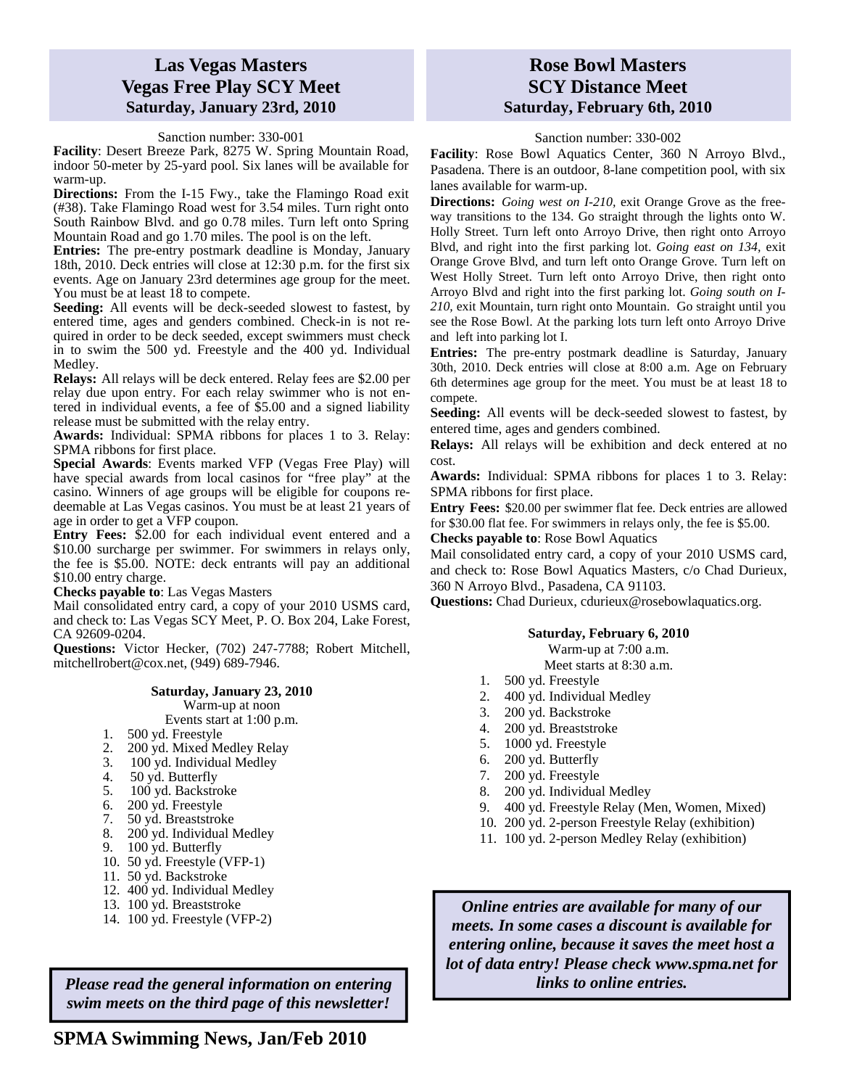#### **Las Vegas Masters Vegas Free Play SCY Meet Saturday, January 23rd, 2010**

Sanction number: 330-001

**Facility**: Desert Breeze Park, 8275 W. Spring Mountain Road, indoor 50-meter by 25-yard pool. Six lanes will be available for warm-up.

**Directions:** From the I-15 Fwy., take the Flamingo Road exit (#38). Take Flamingo Road west for 3.54 miles. Turn right onto South Rainbow Blvd. and go 0.78 miles. Turn left onto Spring Mountain Road and go 1.70 miles. The pool is on the left.

**Entries:** The pre-entry postmark deadline is Monday, January 18th, 2010. Deck entries will close at 12:30 p.m. for the first six events. Age on January 23rd determines age group for the meet. You must be at least 18 to compete.

**Seeding:** All events will be deck-seeded slowest to fastest, by entered time, ages and genders combined. Check-in is not required in order to be deck seeded, except swimmers must check in to swim the 500 yd. Freestyle and the 400 yd. Individual Medley.

**Relays:** All relays will be deck entered. Relay fees are \$2.00 per relay due upon entry. For each relay swimmer who is not entered in individual events, a fee of \$5.00 and a signed liability release must be submitted with the relay entry.

**Awards:** Individual: SPMA ribbons for places 1 to 3. Relay: SPMA ribbons for first place.

**Special Awards**: Events marked VFP (Vegas Free Play) will have special awards from local casinos for "free play" at the casino. Winners of age groups will be eligible for coupons redeemable at Las Vegas casinos. You must be at least 21 years of age in order to get a VFP coupon.

**Entry Fees:** \$2.00 for each individual event entered and a \$10.00 surcharge per swimmer. For swimmers in relays only, the fee is \$5.00. NOTE: deck entrants will pay an additional \$10.00 entry charge.

**Checks payable to**: Las Vegas Masters

Mail consolidated entry card, a copy of your 2010 USMS card, and check to: Las Vegas SCY Meet, P. O. Box 204, Lake Forest, CA 92609-0204.

**Questions:** Victor Hecker, (702) 247-7788; Robert Mitchell, mitchellrobert@cox.net, (949) 689-7946.

#### **Saturday, January 23, 2010**

Warm-up at noon Events start at 1:00 p.m.

- 1. 500 yd. Freestyle
- 
- 2.  $200 \text{ yd. Mixed Medley Relay}$
- 3. 100 yd. Individual Medley
- 4. 50 yd. Butterfly
- 5. 100 yd. Backstroke
- 6. 200 yd. Freestyle
- 7. 50 yd. Breaststroke
- 8. 200 yd. Individual Medley
- 9. 100 yd. Butterfly
- 10. 50 yd. Freestyle (VFP-1)
- 11. 50 yd. Backstroke
- 12. 400 yd. Individual Medley
- 13. 100 yd. Breaststroke
- 14. 100 yd. Freestyle (VFP-2)

*Please read the general information on entering swim meets on the third page of this newsletter!* 

#### **Rose Bowl Masters SCY Distance Meet Saturday, February 6th, 2010**

Sanction number: 330-002

**Facility**: Rose Bowl Aquatics Center, 360 N Arroyo Blvd., Pasadena. There is an outdoor, 8-lane competition pool, with six lanes available for warm-up.

**Directions:** *Going west on I-210,* exit Orange Grove as the freeway transitions to the 134. Go straight through the lights onto W. Holly Street. Turn left onto Arroyo Drive, then right onto Arroyo Blvd, and right into the first parking lot. *Going east on 134,* exit Orange Grove Blvd, and turn left onto Orange Grove. Turn left on West Holly Street. Turn left onto Arroyo Drive, then right onto Arroyo Blvd and right into the first parking lot. *Going south on I-210,* exit Mountain, turn right onto Mountain. Go straight until you see the Rose Bowl. At the parking lots turn left onto Arroyo Drive and left into parking lot I.

**Entries:** The pre-entry postmark deadline is Saturday, January 30th, 2010. Deck entries will close at 8:00 a.m. Age on February 6th determines age group for the meet. You must be at least 18 to compete.

**Seeding:** All events will be deck-seeded slowest to fastest, by entered time, ages and genders combined.

**Relays:** All relays will be exhibition and deck entered at no cost.

**Awards:** Individual: SPMA ribbons for places 1 to 3. Relay: SPMA ribbons for first place.

**Entry Fees:** \$20.00 per swimmer flat fee. Deck entries are allowed for \$30.00 flat fee. For swimmers in relays only, the fee is \$5.00.

**Checks payable to**: Rose Bowl Aquatics

Mail consolidated entry card, a copy of your 2010 USMS card, and check to: Rose Bowl Aquatics Masters, c/o Chad Durieux, 360 N Arroyo Blvd., Pasadena, CA 91103.

**Questions:** Chad Durieux, cdurieux@rosebowlaquatics.org.

#### **Saturday, February 6, 2010**

Warm-up at 7:00 a.m.

- Meet starts at 8:30 a.m.
- 1. 500 yd. Freestyle
- 2. 400 yd. Individual Medley
- 3. 200 yd. Backstroke
- 4. 200 yd. Breaststroke
- 5. 1000 yd. Freestyle
- 6. 200 yd. Butterfly
- 7. 200 yd. Freestyle
- 8. 200 yd. Individual Medley
- 9. 400 yd. Freestyle Relay (Men, Women, Mixed)
- 10. 200 yd. 2-person Freestyle Relay (exhibition)
- 11. 100 yd. 2-person Medley Relay (exhibition)

*Online entries are available for many of our meets. In some cases a discount is available for entering online, because it saves the meet host a lot of data entry! Please check www.spma.net for links to online entries.*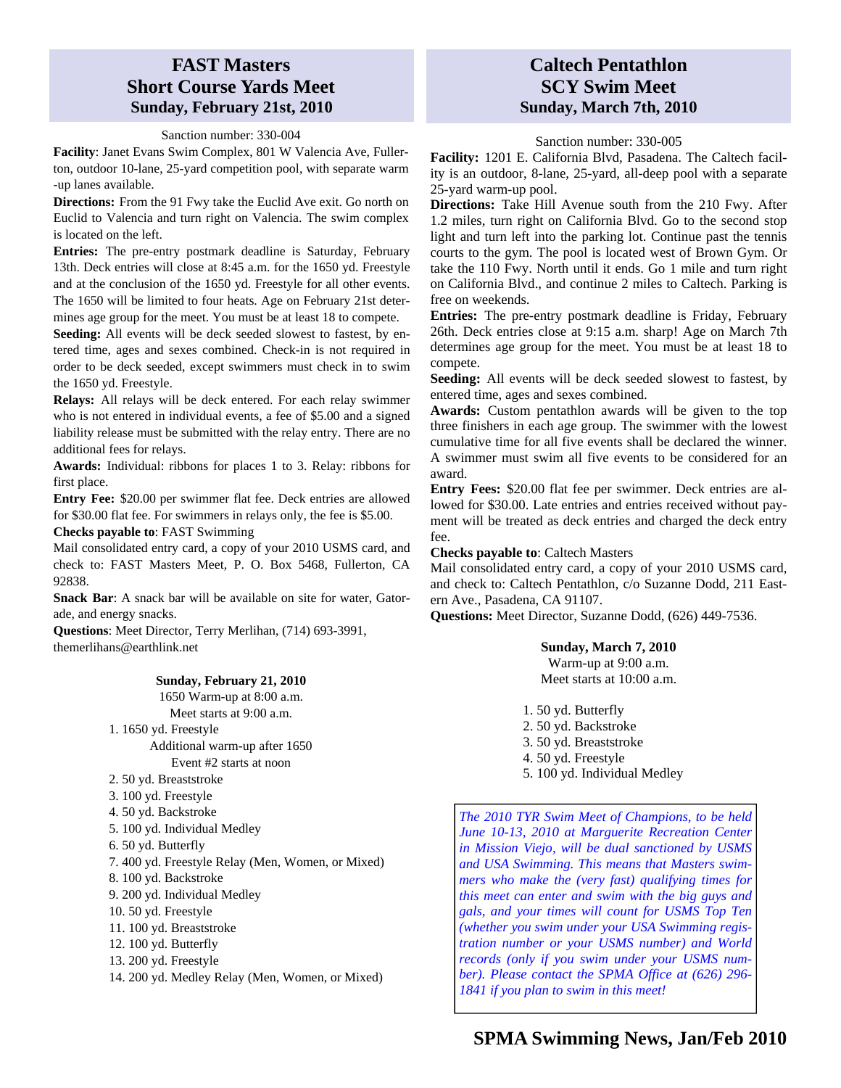### **FAST Masters Short Course Yards Meet Sunday, February 21st, 2010**

Sanction number: 330-004

**Facility**: Janet Evans Swim Complex, 801 W Valencia Ave, Fullerton, outdoor 10-lane, 25-yard competition pool, with separate warm -up lanes available.

**Directions:** From the 91 Fwy take the Euclid Ave exit. Go north on Euclid to Valencia and turn right on Valencia. The swim complex is located on the left.

**Entries:** The pre-entry postmark deadline is Saturday, February 13th. Deck entries will close at 8:45 a.m. for the 1650 yd. Freestyle and at the conclusion of the 1650 yd. Freestyle for all other events. The 1650 will be limited to four heats. Age on February 21st determines age group for the meet. You must be at least 18 to compete.

**Seeding:** All events will be deck seeded slowest to fastest, by entered time, ages and sexes combined. Check-in is not required in order to be deck seeded, except swimmers must check in to swim the 1650 yd. Freestyle.

**Relays:** All relays will be deck entered. For each relay swimmer who is not entered in individual events, a fee of \$5.00 and a signed liability release must be submitted with the relay entry. There are no additional fees for relays.

**Awards:** Individual: ribbons for places 1 to 3. Relay: ribbons for first place.

**Entry Fee:** \$20.00 per swimmer flat fee. Deck entries are allowed for \$30.00 flat fee. For swimmers in relays only, the fee is \$5.00.

**Checks payable to**: FAST Swimming

Mail consolidated entry card, a copy of your 2010 USMS card, and check to: FAST Masters Meet, P. O. Box 5468, Fullerton, CA 92838.

**Snack Bar**: A snack bar will be available on site for water, Gatorade, and energy snacks.

**Questions**: Meet Director, Terry Merlihan, (714) 693-3991, themerlihans@earthlink.net

#### **Sunday, February 21, 2010**

1650 Warm-up at 8:00 a.m.

- Meet starts at 9:00 a.m.
- 1. 1650 yd. Freestyle Additional warm-up after 1650
	- Event #2 starts at noon
- 2. 50 yd. Breaststroke
- 3. 100 yd. Freestyle
- 4. 50 yd. Backstroke
- 5. 100 yd. Individual Medley
- 6. 50 yd. Butterfly
- 7. 400 yd. Freestyle Relay (Men, Women, or Mixed)
- 8. 100 yd. Backstroke
- 9. 200 yd. Individual Medley
- 10. 50 yd. Freestyle
- 11. 100 yd. Breaststroke
- 12. 100 yd. Butterfly
- 13. 200 yd. Freestyle
- 14. 200 yd. Medley Relay (Men, Women, or Mixed)

### **Caltech Pentathlon SCY Swim Meet Sunday, March 7th, 2010**

Sanction number: 330-005

**Facility:** 1201 E. California Blvd, Pasadena. The Caltech facility is an outdoor, 8-lane, 25-yard, all-deep pool with a separate 25-yard warm-up pool.

**Directions:** Take Hill Avenue south from the 210 Fwy. After 1.2 miles, turn right on California Blvd. Go to the second stop light and turn left into the parking lot. Continue past the tennis courts to the gym. The pool is located west of Brown Gym. Or take the 110 Fwy. North until it ends. Go 1 mile and turn right on California Blvd., and continue 2 miles to Caltech. Parking is free on weekends.

**Entries:** The pre-entry postmark deadline is Friday, February 26th. Deck entries close at 9:15 a.m. sharp! Age on March 7th determines age group for the meet. You must be at least 18 to compete.

**Seeding:** All events will be deck seeded slowest to fastest, by entered time, ages and sexes combined.

**Awards:** Custom pentathlon awards will be given to the top three finishers in each age group. The swimmer with the lowest cumulative time for all five events shall be declared the winner. A swimmer must swim all five events to be considered for an award.

**Entry Fees:** \$20.00 flat fee per swimmer. Deck entries are allowed for \$30.00. Late entries and entries received without payment will be treated as deck entries and charged the deck entry fee.

#### **Checks payable to**: Caltech Masters

Mail consolidated entry card, a copy of your 2010 USMS card, and check to: Caltech Pentathlon, c/o Suzanne Dodd, 211 Eastern Ave., Pasadena, CA 91107.

**Questions:** Meet Director, Suzanne Dodd, (626) 449-7536.

#### **Sunday, March 7, 2010**

Warm-up at 9:00 a.m. Meet starts at 10:00 a.m.

- 1. 50 yd. Butterfly
- 2. 50 yd. Backstroke
- 3. 50 yd. Breaststroke
- 4. 50 yd. Freestyle
- 5. 100 yd. Individual Medley

*The 2010 TYR Swim Meet of Champions, to be held June 10-13, 2010 at Marguerite Recreation Center in Mission Viejo, will be dual sanctioned by USMS and USA Swimming. This means that Masters swimmers who make the (very fast) qualifying times for this meet can enter and swim with the big guys and gals, and your times will count for USMS Top Ten (whether you swim under your USA Swimming registration number or your USMS number) and World records (only if you swim under your USMS number). Please contact the SPMA Office at (626) 296- 1841 if you plan to swim in this meet!*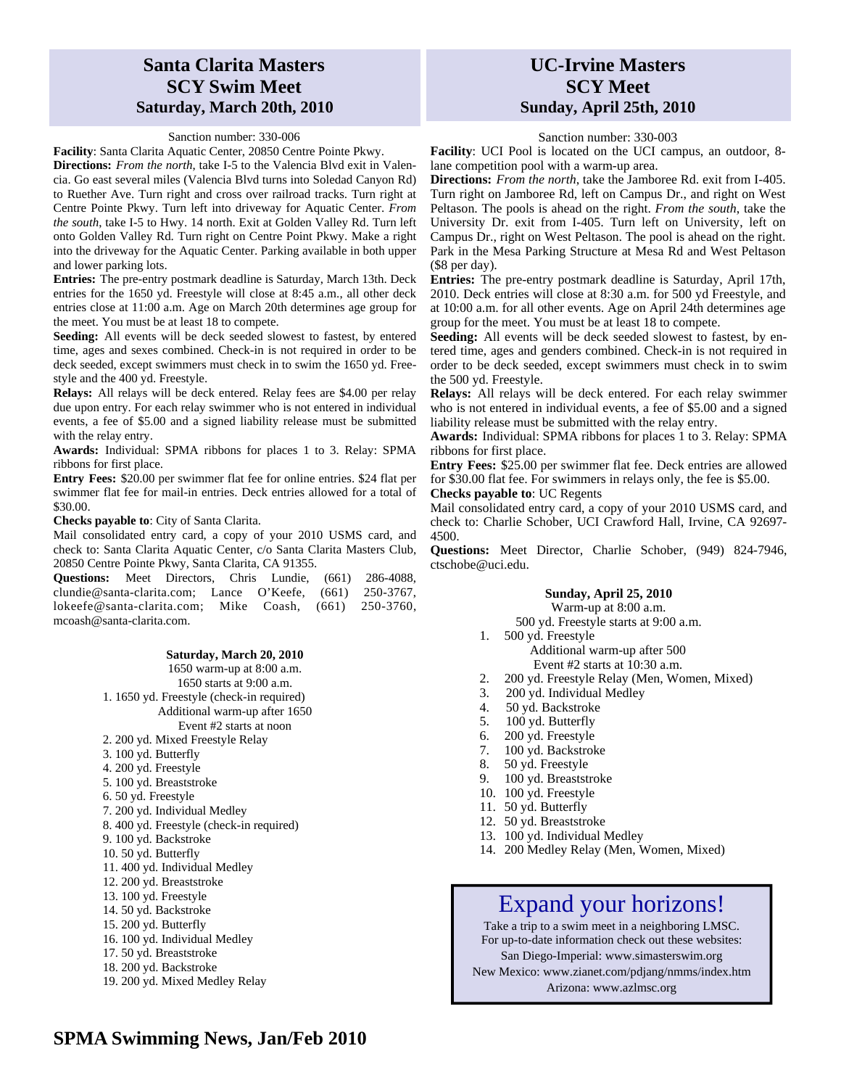#### **Santa Clarita Masters SCY Swim Meet Saturday, March 20th, 2010**

Sanction number: 330-006

**Facility**: Santa Clarita Aquatic Center, 20850 Centre Pointe Pkwy.

**Directions:** *From the north*, take I-5 to the Valencia Blvd exit in Valencia. Go east several miles (Valencia Blvd turns into Soledad Canyon Rd) to Ruether Ave. Turn right and cross over railroad tracks. Turn right at Centre Pointe Pkwy. Turn left into driveway for Aquatic Center. *From the south*, take I-5 to Hwy. 14 north. Exit at Golden Valley Rd. Turn left onto Golden Valley Rd. Turn right on Centre Point Pkwy. Make a right into the driveway for the Aquatic Center. Parking available in both upper and lower parking lots.

**Entries:** The pre-entry postmark deadline is Saturday, March 13th. Deck entries for the 1650 yd. Freestyle will close at 8:45 a.m., all other deck entries close at 11:00 a.m. Age on March 20th determines age group for the meet. You must be at least 18 to compete.

**Seeding:** All events will be deck seeded slowest to fastest, by entered time, ages and sexes combined. Check-in is not required in order to be deck seeded, except swimmers must check in to swim the 1650 yd. Freestyle and the 400 yd. Freestyle.

**Relays:** All relays will be deck entered. Relay fees are \$4.00 per relay due upon entry. For each relay swimmer who is not entered in individual events, a fee of \$5.00 and a signed liability release must be submitted with the relay entry.

**Awards:** Individual: SPMA ribbons for places 1 to 3. Relay: SPMA ribbons for first place.

**Entry Fees:** \$20.00 per swimmer flat fee for online entries. \$24 flat per swimmer flat fee for mail-in entries. Deck entries allowed for a total of \$30.00.

**Checks payable to**: City of Santa Clarita.

Mail consolidated entry card, a copy of your 2010 USMS card, and check to: Santa Clarita Aquatic Center, c/o Santa Clarita Masters Club, 20850 Centre Pointe Pkwy, Santa Clarita, CA 91355.

**Questions:** Meet Directors, Chris Lundie, (661) 286-4088, clundie@santa-clarita.com; Lance O'Keefe, (661) 250-3767, lokeefe@santa-clarita.com; Mike Coash, (661) 250-3760, mcoash@santa-clarita.com.

#### **Saturday, March 20, 2010**

1650 warm-up at 8:00 a.m. 1650 starts at 9:00 a.m. 1. 1650 yd. Freestyle (check-in required) Additional warm-up after 1650 Event #2 starts at noon 2. 200 yd. Mixed Freestyle Relay 3. 100 yd. Butterfly 4. 200 yd. Freestyle 5. 100 yd. Breaststroke 6. 50 yd. Freestyle 7. 200 yd. Individual Medley 8. 400 yd. Freestyle (check-in required) 9. 100 yd. Backstroke 10. 50 yd. Butterfly 11. 400 yd. Individual Medley 12. 200 yd. Breaststroke 13. 100 yd. Freestyle 14. 50 yd. Backstroke 15. 200 yd. Butterfly 16. 100 yd. Individual Medley 17. 50 yd. Breaststroke 18. 200 yd. Backstroke 19. 200 yd. Mixed Medley Relay

#### **UC-Irvine Masters SCY Meet Sunday, April 25th, 2010**

#### Sanction number: 330-003

**Facility**: UCI Pool is located on the UCI campus, an outdoor, 8 lane competition pool with a warm-up area.

**Directions:** *From the north*, take the Jamboree Rd. exit from I-405. Turn right on Jamboree Rd, left on Campus Dr., and right on West Peltason. The pools is ahead on the right. *From the south*, take the University Dr. exit from I-405. Turn left on University, left on Campus Dr., right on West Peltason. The pool is ahead on the right. Park in the Mesa Parking Structure at Mesa Rd and West Peltason (\$8 per day).

**Entries:** The pre-entry postmark deadline is Saturday, April 17th, 2010. Deck entries will close at 8:30 a.m. for 500 yd Freestyle, and at 10:00 a.m. for all other events. Age on April 24th determines age group for the meet. You must be at least 18 to compete.

**Seeding:** All events will be deck seeded slowest to fastest, by entered time, ages and genders combined. Check-in is not required in order to be deck seeded, except swimmers must check in to swim the 500 yd. Freestyle.

**Relays:** All relays will be deck entered. For each relay swimmer who is not entered in individual events, a fee of \$5.00 and a signed liability release must be submitted with the relay entry.

**Awards:** Individual: SPMA ribbons for places 1 to 3. Relay: SPMA ribbons for first place.

**Entry Fees:** \$25.00 per swimmer flat fee. Deck entries are allowed for \$30.00 flat fee. For swimmers in relays only, the fee is \$5.00. **Checks payable to**: UC Regents

Mail consolidated entry card, a copy of your 2010 USMS card, and

check to: Charlie Schober, UCI Crawford Hall, Irvine, CA 92697- 4500.

**Questions:** Meet Director, Charlie Schober, (949) 824-7946, ctschobe@uci.edu.

#### **Sunday, April 25, 2010**

Warm-up at 8:00 a.m. 500 yd. Freestyle starts at 9:00 a.m.

- 1. 500 yd. Freestyle Additional warm-up after 500 Event #2 starts at 10:30 a.m.
- 2. 200 yd. Freestyle Relay (Men, Women, Mixed)
- 3. 200 yd. Individual Medley
- 4. 50 yd. Backstroke
- 5. 100 yd. Butterfly
- 6. 200 yd. Freestyle
- 7. 100 yd. Backstroke
- 8. 50 yd. Freestyle
- 9. 100 yd. Breaststroke
- 10. 100 yd. Freestyle
- 11. 50 yd. Butterfly
- 12. 50 yd. Breaststroke
- 13. 100 yd. Individual Medley
- 14. 200 Medley Relay (Men, Women, Mixed)

### Expand your horizons!

Take a trip to a swim meet in a neighboring LMSC. For up-to-date information check out these websites:

San Diego-Imperial: www.simasterswim.org

New Mexico: www.zianet.com/pdjang/nmms/index.htm Arizona: www.azlmsc.org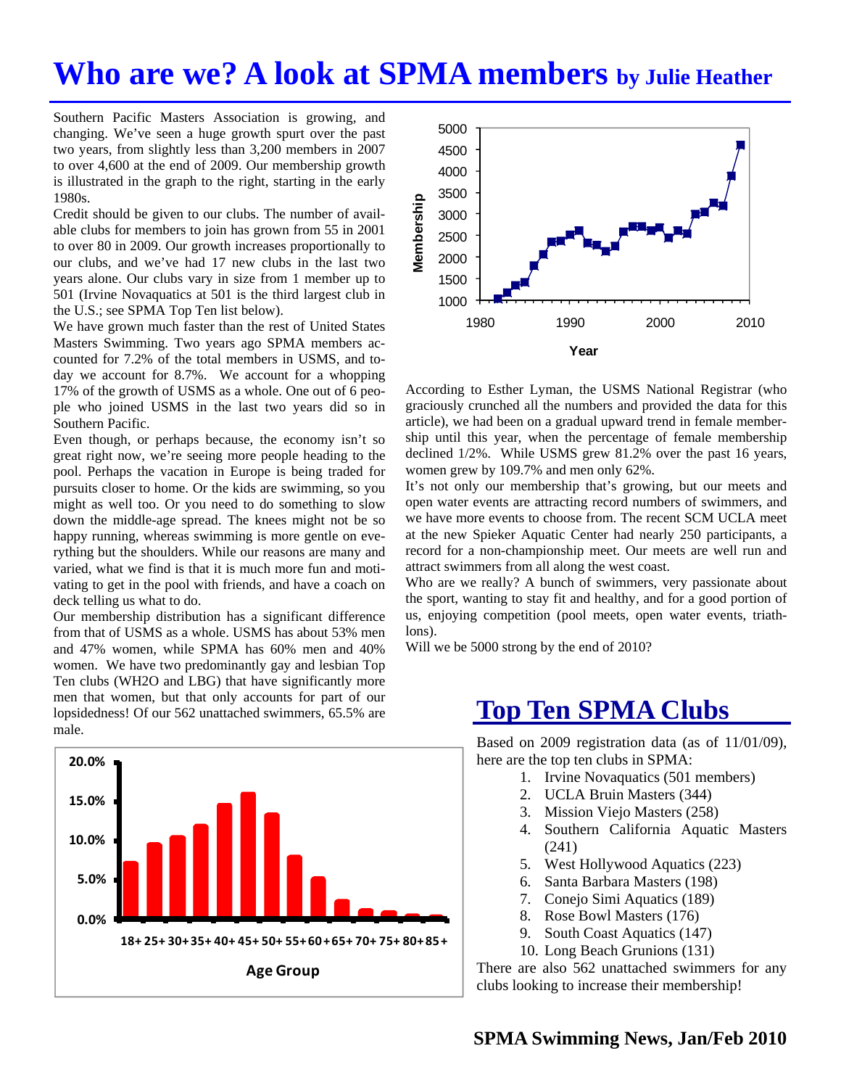## **Who are we? A look at SPMA members by Julie Heather**

Southern Pacific Masters Association is growing, and changing. We've seen a huge growth spurt over the past two years, from slightly less than 3,200 members in 2007 to over 4,600 at the end of 2009. Our membership growth is illustrated in the graph to the right, starting in the early 1980s.

Credit should be given to our clubs. The number of available clubs for members to join has grown from 55 in 2001 to over 80 in 2009. Our growth increases proportionally to our clubs, and we've had 17 new clubs in the last two years alone. Our clubs vary in size from 1 member up to 501 (Irvine Novaquatics at 501 is the third largest club in the U.S.; see SPMA Top Ten list below).

We have grown much faster than the rest of United States Masters Swimming. Two years ago SPMA members accounted for 7.2% of the total members in USMS, and today we account for 8.7%. We account for a whopping 17% of the growth of USMS as a whole. One out of 6 people who joined USMS in the last two years did so in Southern Pacific.

Even though, or perhaps because, the economy isn't so great right now, we're seeing more people heading to the pool. Perhaps the vacation in Europe is being traded for pursuits closer to home. Or the kids are swimming, so you might as well too. Or you need to do something to slow down the middle-age spread. The knees might not be so happy running, whereas swimming is more gentle on everything but the shoulders. While our reasons are many and varied, what we find is that it is much more fun and motivating to get in the pool with friends, and have a coach on deck telling us what to do.

Our membership distribution has a significant difference from that of USMS as a whole. USMS has about 53% men and 47% women, while SPMA has 60% men and 40% women. We have two predominantly gay and lesbian Top Ten clubs (WH2O and LBG) that have significantly more men that women, but that only accounts for part of our lopsidedness! Of our 562 unattached swimmers, 65.5% are male.





According to Esther Lyman, the USMS National Registrar (who graciously crunched all the numbers and provided the data for this article), we had been on a gradual upward trend in female membership until this year, when the percentage of female membership declined 1/2%. While USMS grew 81.2% over the past 16 years, women grew by 109.7% and men only 62%.

It's not only our membership that's growing, but our meets and open water events are attracting record numbers of swimmers, and we have more events to choose from. The recent SCM UCLA meet at the new Spieker Aquatic Center had nearly 250 participants, a record for a non-championship meet. Our meets are well run and attract swimmers from all along the west coast.

Who are we really? A bunch of swimmers, very passionate about the sport, wanting to stay fit and healthy, and for a good portion of us, enjoying competition (pool meets, open water events, triathlons).

Will we be 5000 strong by the end of 2010?

### **Top Ten SPMA Clubs**

Based on 2009 registration data (as of 11/01/09), here are the top ten clubs in SPMA:

- 1. Irvine Novaquatics (501 members)
- 2. UCLA Bruin Masters (344)
- 3. Mission Viejo Masters (258)
- 4. Southern California Aquatic Masters (241)
- 5. West Hollywood Aquatics (223)
- 6. Santa Barbara Masters (198)
- 7. Conejo Simi Aquatics (189)
- 8. Rose Bowl Masters (176)
- 9. South Coast Aquatics (147)
- 10. Long Beach Grunions (131)

There are also 562 unattached swimmers for any clubs looking to increase their membership!